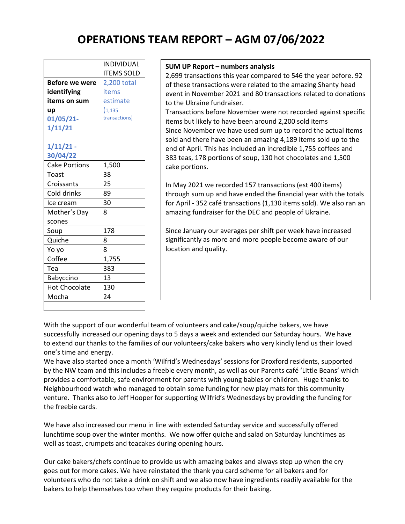## **OPERATIONS TEAM REPORT – AGM 07/06/2022**

| <b>Before we were</b><br>identifying<br>items on sum<br>up | <b>INDIVIDUAL</b><br><b>ITEMS SOLD</b><br>2,200 total<br>items<br>estimate<br>(1, 135) |
|------------------------------------------------------------|----------------------------------------------------------------------------------------|
| 01/05/21-<br>1/11/21                                       | transactions)                                                                          |
|                                                            |                                                                                        |
| $1/11/21$ -<br>30/04/22                                    |                                                                                        |
| <b>Cake Portions</b>                                       | 1,500                                                                                  |
| Toast                                                      | 38                                                                                     |
| Croissants                                                 | 25                                                                                     |
| Cold drinks                                                | 89                                                                                     |
| Ice cream                                                  | 30                                                                                     |
| Mother's Day                                               | 8                                                                                      |
| scones                                                     |                                                                                        |
| Soup                                                       | 178                                                                                    |
| Quiche                                                     | 8                                                                                      |
| Yo yo                                                      | 8                                                                                      |
| Coffee                                                     | 1,755                                                                                  |
| Tea                                                        | 383                                                                                    |
| Babyccino                                                  | 13                                                                                     |
| <b>Hot Chocolate</b>                                       | 130                                                                                    |
| Mocha                                                      | 24                                                                                     |
|                                                            |                                                                                        |

## **SUM UP Report – numbers analysis**

2,699 transactions this year compared to 546 the year before. 92 of these transactions were related to the amazing Shanty head event in November 2021 and 80 transactions related to donations to the Ukraine fundraiser.

Transactions before November were not recorded against specific items but likely to have been around 2,200 sold items Since November we have used sum up to record the actual items sold and there have been an amazing 4,189 items sold up to the end of April. This has included an incredible 1,755 coffees and 383 teas, 178 portions of soup, 130 hot chocolates and 1,500 cake portions.

In May 2021 we recorded 157 transactions (est 400 items) through sum up and have ended the financial year with the totals for April - 352 café transactions (1,130 items sold). We also ran an amazing fundraiser for the DEC and people of Ukraine.

Since January our averages per shift per week have increased significantly as more and more people become aware of our location and quality.

With the support of our wonderful team of volunteers and cake/soup/quiche bakers, we have successfully increased our opening days to 5 days a week and extended our Saturday hours. We have to extend our thanks to the families of our volunteers/cake bakers who very kindly lend us their loved one's time and energy.

We have also started once a month 'Wilfrid's Wednesdays' sessions for Droxford residents, supported by the NW team and this includes a freebie every month, as well as our Parents café 'Little Beans' which provides a comfortable, safe environment for parents with young babies or children. Huge thanks to Neighbourhood watch who managed to obtain some funding for new play mats for this community venture. Thanks also to Jeff Hooper for supporting Wilfrid's Wednesdays by providing the funding for the freebie cards.

We have also increased our menu in line with extended Saturday service and successfully offered lunchtime soup over the winter months. We now offer quiche and salad on Saturday lunchtimes as well as toast, crumpets and teacakes during opening hours.

Our cake bakers/chefs continue to provide us with amazing bakes and always step up when the cry goes out for more cakes. We have reinstated the thank you card scheme for all bakers and for volunteers who do not take a drink on shift and we also now have ingredients readily available for the bakers to help themselves too when they require products for their baking.